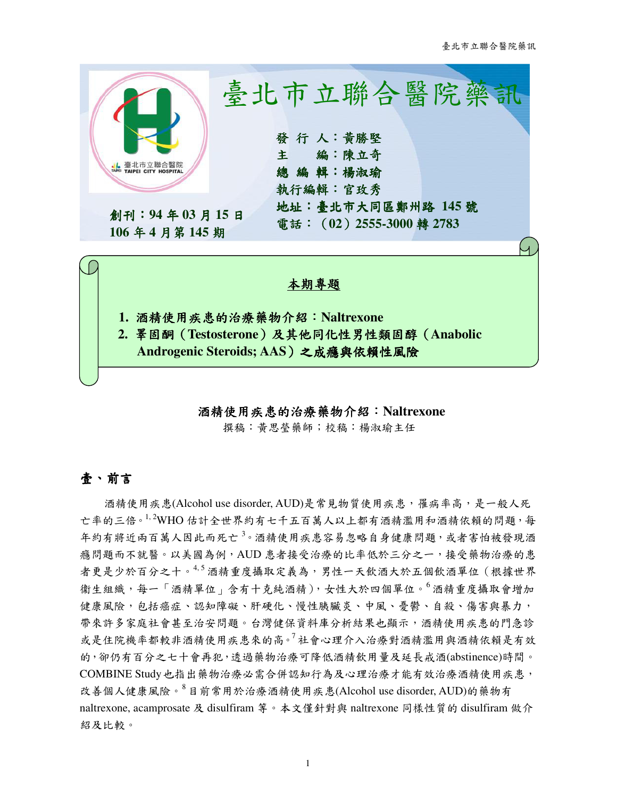

#### 酒精使用疾患的治療藥物 酒精使用疾患的治療藥物介紹:**Naltrexone**

撰稿:黃思瑩藥師;校稿:楊淑瑜主任

## 壹、前言

酒精使用疾患(Alcohol use disorder, AUD)是常見物質使用疾患,罹病率高,是一般人死 亡率的三倍。1,2WHO 估計全世界約有七千五百萬人以上都有酒精濫用和酒精依賴的問題,每 年約有將近兩百萬人因此而死亡<sup>3</sup>。酒精使用疾患容易忽略自身健康問題,或者害怕被發現酒 癮問題而不就醫。以美國為例,AUD 患者接受治療的比率低於三分之一,接受藥物治療的患 者更是少於百分之十。<sup>4,5</sup> 酒精重度攝取定義為,男性一天飲酒大於五個飲酒單位(根據世界 衞生組織,每一「酒精單位」含有十克純酒精),女性大於四個單位。<sup>6</sup> 酒精重度攝取會增加 健康風險,包括癌症、認知障礙、肝硬化、慢性胰臟炎、中風、憂鬱、自殺、傷害與暴力, 帶來許多家庭社會甚至治安問題。台灣健保資料庫分析結果也顯示,酒精使用疾患的門急診 或是住院機率都較非酒精使用疾患來的高。<sup>7</sup>社會心理介入治療對酒精濫用與酒精依賴是有效 的,卻仍有百分之七十會再犯,透過藥物治療可降低酒精飲用量及延長戒酒(abstinence)時間。 COMBINE Study也指出藥物治療必需合併認知行為及心理治療才能有效治療酒精使用疾患, 改善個人健康風險。<sup>8</sup>目前常用於治療酒精使用疾患(Alcohol use disorder, AUD)的藥物有 naltrexone, acamprosate 及 disulfiram 等。本文僅針對與 naltrexone 同樣性質的 disulfiram 做介 紹及比較。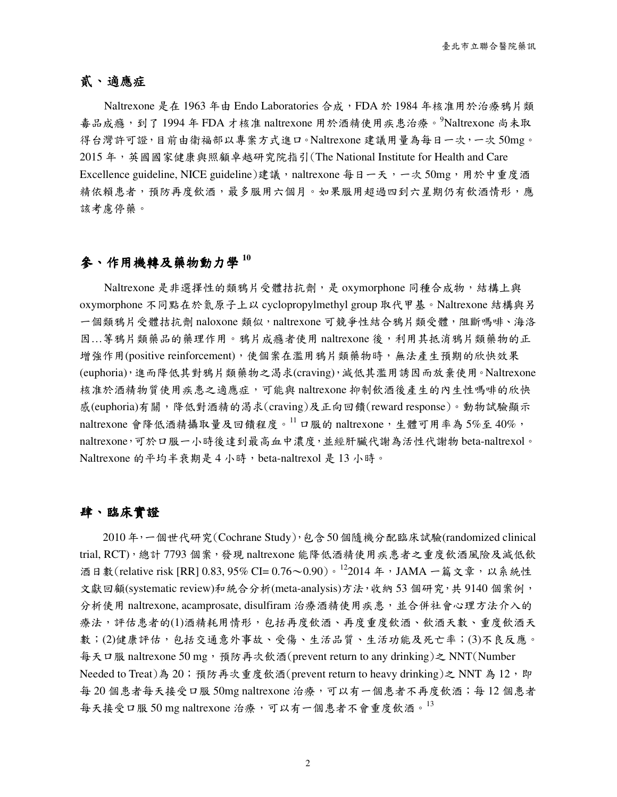## 貳、適應症

Naltrexone 是在 1963 年由 Endo Laboratories 合成, FDA 於 1984 年核准用於治療鴉片類 毒品成癮,到了 1994年 FDA 才核准 naltrexone 用於酒精使用疾患治療。<sup>9</sup>Naltrexone 尚未取 得台灣許可證,目前由衛福部以專案方式進口。Naltrexone 建議用量為每日一次,一次 50mg。 2015 年,英國國家健康與照顧卓越研究院指引(The National Institute for Health and Care Excellence guideline, NICE guideline)建議,naltrexone 每日一天,一次 50mg,用於中重度酒 精依賴患者,預防再度飲酒,最多服用六個月。如果服用超過四到六星期仍有飲酒情形,應 該考慮停藥。

## 參、作用機轉及藥物動力學 **<sup>10</sup>**

Naltrexone 是非選擇性的類鴉片受體拮抗劑,是 oxymorphone 同種合成物,結構上與 oxymorphone 不同點在於氮原子上以 cyclopropylmethyl group 取代甲基。Naltrexone 結構與另 一個類鴉片受體拮抗劑 naloxone 類似,naltrexone 可競爭性結合鴉片類受體,阻斷嗎啡、海洛 因...等鴉片類藥品的藥理作用。鴉片成癮者使用 naltrexone 後,利用其抵消鴉片類藥物的正 增強作用(positive reinforcement),使個案在濫用鴉片類藥物時,無法產生預期的欣快效果 (euphoria),進而降低其對鴉片類藥物之渴求(craving),減低其濫用誘因而放棄使用。Naltrexone 核准於酒精物質使用疾患之適應症,可能與 naltrexone 抑制飲酒後產生的內生性嗎啡的欣快 感(euphoria)有關,降低對酒精的渴求(craving)及正向回饋(reward response)。動物試驗顯示 naltrexone 會降低酒精攝取量及回饋程度。 $^{11}$  口服的 naltrexone, 生體可用率為 5%至 40%, naltrexone,可於口服一小時後達到最高血中濃度,並經肝臟代謝為活性代謝物 beta-naltrexol。 Naltrexone 的平均半衰期是 4 小時, beta-naltrexol 是 13 小時。

#### 肆、臨床實證

2010年,一個世代研究(Cochrane Study),包含50個隨機分配臨床試驗(randomized clinical trial, RCT),總計 7793 個案,發現 naltrexone 能降低酒精使用疾患者之重度飲酒風險及減低飲 酒日數(relative risk [RR] 0.83, 95% CI= 0.76~0.90)。122014 年, JAMA 一篇文章, 以系統性 文獻回顧(systematic review)和統合分析(meta-analysis)方法,收納 53 個研究,共 9140 個案例, 分析使用 naltrexone, acamprosate, disulfiram 治療酒精使用疾患, 並合併社會心理方法介入的 療法,評估患者的(1)酒精耗用情形,包括再度飲酒、再度重度飲酒、飲酒天數、重度飲酒天 數;(2)健康評估,包括交通意外事故、受傷、生活品質、生活功能及死亡率;(3)不良反應。 每天口服 naltrexone 50 mg,預防再次飲酒(prevent return to any drinking)之 NNT(Number Needed to Treat)為 20; 預防再次重度飲酒(prevent return to heavy drinking)之 NNT 為 12, 即 每 20 個患者每天接受口服 50mg naltrexone 治療,可以有一個患者不再度飲酒;每 12 個患者 每天接受口服 50 mg naltrexone 治療,可以有一個患者不會重度飲酒。 $^{13}$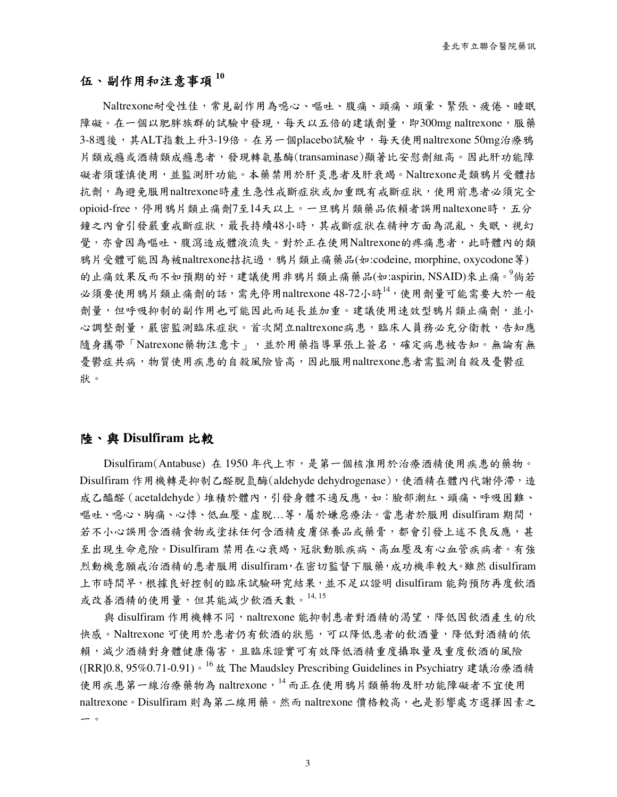## 伍、副作用和注意事項 **<sup>10</sup>**

Naltrexone耐受性佳,常見副作用為噁心、嘔吐、腹痛、頭痛、頭暈、緊張、疲倦、睡眠 障礙。在一個以肥胖族群的試驗中發現,每天以五倍的建議劑量,即300mg naltrexone,服藥 3-8週後,其ALT指數上升3-19倍。在另一個placebo試驗中,每天使用naltrexone 50mg治療鴉 片類成癮或酒精類成癮患者,發現轉氨基酶(transaminase)顯著比安慰劑組高。因此肝功能障 礙者須謹慎使用,並監測肝功能。本藥禁用於肝炎患者及肝衰竭。Naltrexone是類鴉片受體拮 抗劑,為避免服用naltrexone時產生急性戒斷症狀或加重既有戒斷症狀,使用前患者必須完全 opioid-free,停用鴉片類止痛劑7至14天以上。一旦鴉片類藥品依賴者誤用naltexone時,五分 鐘之內會引發嚴重戒斷症狀,最長持續48小時,其戒斷症狀在精神方面為混亂、失眠、視幻 覺,亦會因為嘔吐、腹瀉造成體液流失。對於正在使用Naltrexone的疼痛患者,此時體內的類 鴉片受體可能因為被naltrexone拮抗過,鴉片類止痛藥品(如:codeine, morphine, oxycodone等) 的止痛效果反而不如預期的好,建議使用非鴉片類止痛藥品(如:aspirin, NSAID)來止痛。<sup>9</sup>倘若 必須要使用鴉片類止痛劑的話,需先停用naltrexone 48-72小時14,使用劑量可能需要大於一般 劑量,但呼吸抑制的副作用也可能因此而延長並加重。建議使用速效型鴉片類止痛劑,並小 心調整劑量,嚴密監測臨床症狀。首次開立naltrexone病患,臨床人員務必充分衛教,告知應 隨身攜帶「Natrexone藥物注意卡」,並於用藥指導單張上簽名,確定病患被告知。無論有無 憂鬱症共病,物質使用疾患的自殺風險皆高,因此服用naltrexone患者需監測自殺及憂鬱症 狀。

#### 陸、與 **Disulfiram** 比較

Disulfiram(Antabuse) 在 1950 年代上市,是第一個核准用於治療酒精使用疾患的藥物。 Disulfiram 作用機轉是抑制乙醛脫氫酶(aldehyde dehydrogenase),使酒精在體內代謝停滯,造 成乙醯醛(acetaldehyde)堆積於體內,引發身體不適反應,如:臉部潮紅、頭痛、呼吸困難、 嘔吐、噁心、胸痛、心悸、低血壓、虛脫…等,屬於嫌惡療法。當患者於服用 disulfiram 期間, 若不小心誤用含酒精食物或生何含酒精皮膚保養品或藥膏,都會引發上述不良反應,甚 至出現生命危險。Disulfiram 禁用在心衰竭、冠狀動脈疾病、高血壓及有心血管疾病者。有強 烈動機意願戒治酒精的患者服用 disulfiram,在密切監督下服藥,成功機率較大。雖然 disulfiram 上市時間早,根據良好控制的臨床試驗研究結果,並不足以證明 disulfiram 能夠預防再度飲酒 或改善酒精的使用量,但其能減少飲酒天數。<sup>14, 15</sup>

與 disulfiram 作用機轉不同,naltrexone 能抑制患者對酒精的渴望,降低因飲酒產生的欣 快感。Naltrexone 可使用於患者仍有飲酒的狀態,可以降低患者的飲酒量,降低對酒精的依 賴,減少酒精對身體健康傷害,且臨床證實可有效降低酒精重度攝取量及重度飲酒的風險 ([RR]0.8, 95%0.71-0.91)。<sup>16</sup> 故 The Maudsley Prescribing Guidelines in Psychiatry 建議治療酒精 使用疾患第一線治療藥物為 naltrexone, 14 而正在使用鴉片類藥物及肝功能障礙者不宜使用 naltrexone。Disulfiram 則為第二線用藥。然而 naltrexone 價格較高,也是影響處方選擇因素之 一。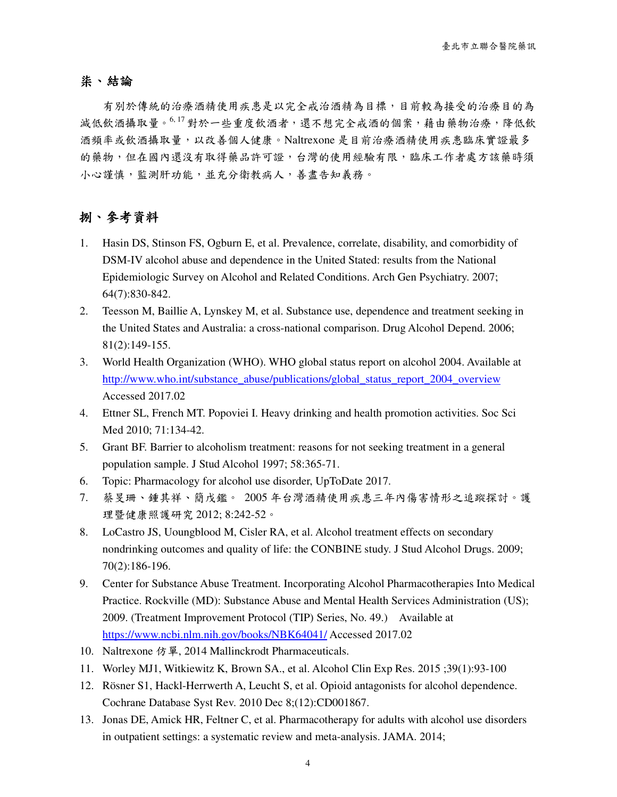#### 柒、結論

有別於傳統的治療酒精使用疾患是以完全戒治酒精為目標,目前較為接受的治療目的為 減低飲酒攝取量。<sup>6,17</sup>對於一些重度飲酒者,還不想完全戒酒的個案,藉由藥物治療,降低飲 酒頻率或飲酒攝取量,以改善個人健康。Naltrexone 是目前治療酒精使用疾患臨床實證最多 的藥物,但在國內還沒有取得藥品許可證,台灣的使用經驗有限,臨床工作者處方該藥時須 小心謹慎,監測肝功能,並充分衛教病人,善盡告知義務。

## 捌、參考資料

- 1. Hasin DS, Stinson FS, Ogburn E, et al. Prevalence, correlate, disability, and comorbidity of DSM-IV alcohol abuse and dependence in the United Stated: results from the National Epidemiologic Survey on Alcohol and Related Conditions. Arch Gen Psychiatry. 2007; 64(7):830-842.
- 2. Teesson M, Baillie A, Lynskey M, et al. Substance use, dependence and treatment seeking in the United States and Australia: a cross-national comparison. Drug Alcohol Depend. 2006; 81(2):149-155.
- 3. World Health Organization (WHO). WHO global status report on alcohol 2004. Available at http://www.who.int/substance\_abuse/publications/global\_status\_report\_2004\_overview Accessed 2017.02
- 4. Ettner SL, French MT. Popoviei I. Heavy drinking and health promotion activities. Soc Sci Med 2010; 71:134-42.
- 5. Grant BF. Barrier to alcoholism treatment: reasons for not seeking treatment in a general population sample. J Stud Alcohol 1997; 58:365-71.
- 6. Topic: Pharmacology for alcohol use disorder, UpToDate 2017.
- 7. 蔡旻珊、鍾其祥、簡戊鑑。 2005 年台灣酒精使用疾患三年內傷害情形之追蹤探討。護 理暨健康照護研究 2012; 8:242-52。
- 8. LoCastro JS, Uoungblood M, Cisler RA, et al. Alcohol treatment effects on secondary nondrinking outcomes and quality of life: the CONBINE study. J Stud Alcohol Drugs. 2009; 70(2):186-196.
- 9. Center for Substance Abuse Treatment. Incorporating Alcohol Pharmacotherapies Into Medical Practice. Rockville (MD): Substance Abuse and Mental Health Services Administration (US); 2009. (Treatment Improvement Protocol (TIP) Series, No. 49.) Available at https://www.ncbi.nlm.nih.gov/books/NBK64041/ Accessed 2017.02
- 10. Naltrexone 仿單, 2014 Mallinckrodt Pharmaceuticals.
- 11. Worley MJ1, Witkiewitz K, Brown SA., et al. Alcohol Clin Exp Res. 2015 ;39(1):93-100
- 12. Rösner S1, Hackl-Herrwerth A, Leucht S, et al. Opioid antagonists for alcohol dependence. Cochrane Database Syst Rev. 2010 Dec 8;(12):CD001867.
- 13. Jonas DE, Amick HR, Feltner C, et al. Pharmacotherapy for adults with alcohol use disorders in outpatient settings: a systematic review and meta-analysis. JAMA. 2014;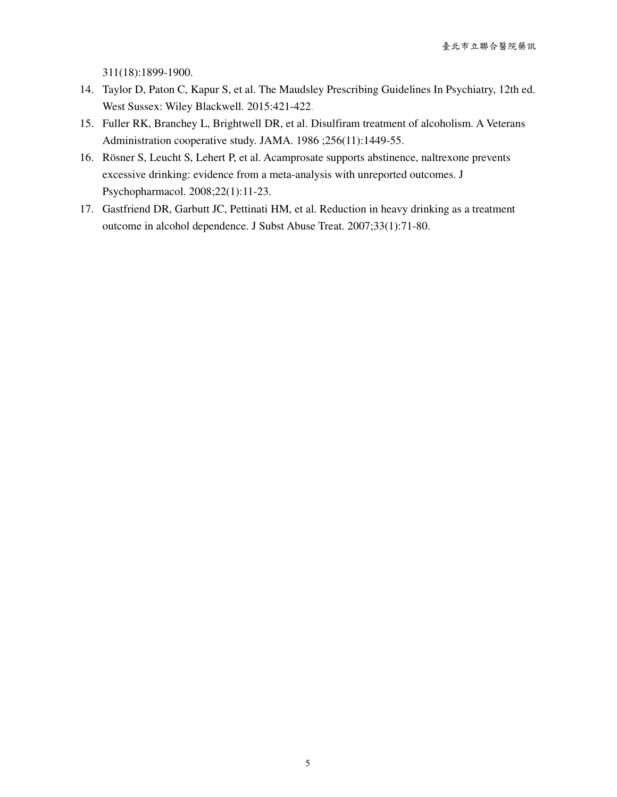311(18):1899-1900.

- 14. Taylor D, Paton C, Kapur S, et al. The Maudsley Prescribing Guidelines In Psychiatry, 12th ed. West Sussex: Wiley Blackwell. 2015:421-422.
- 15. Fuller RK, Branchey L, Brightwell DR, et al. Disulfiram treatment of alcoholism. A Veterans Administration cooperative study. JAMA. 1986 ;256(11):1449-55.
- 16. Rösner S, Leucht S, Lehert P, et al. Acamprosate supports abstinence, naltrexone prevents excessive drinking: evidence from a meta-analysis with unreported outcomes. J Psychopharmacol. 2008;22(1):11-23.
- 17. Gastfriend DR, Garbutt JC, Pettinati HM, et al. Reduction in heavy drinking as a treatment outcome in alcohol dependence. J Subst Abuse Treat. 2007;33(1):71-80.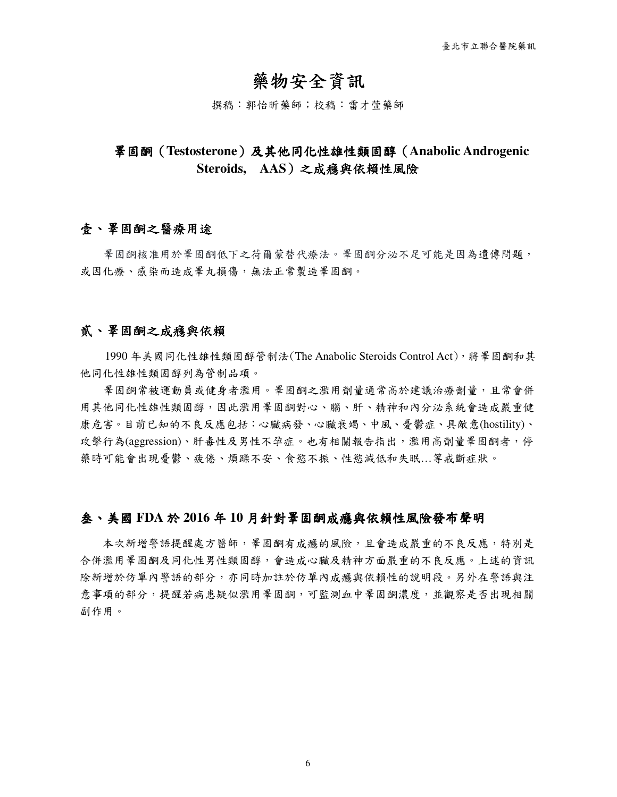# 藥物安全資訊

撰稿:郭怡昕藥師;校稿:雷才萱藥師

## 睪固酮(**Testosterone**)及其他同化性 )及其他同化性雄性類固醇(**Anabolic Androgenic Steroids, AAS**)之成癮與依賴性風險

## 春、睪固酮之醫療用途

睪固酮核准用於睪固酮低下之荷爾蒙替代療法。睪固酮分泌不足可能是因為遺傳問題, 或因化療、感染而造成睪丸損傷,無法正常製造睪固酮。

#### 貳、睪固酮之成癮與依賴

 1990 年美國同化性雄性類固醇管制法(The Anabolic Steroids Control Act),將睪固酮和其 他同化性雄性類固醇列為管制品項。

**睪固酮常被運動員或健身者濫用。睪固酮之濫用劑量通常高於建議治療劑量,且常會併** 用其他同化性雄性類固醇,因此濫用睪固酮對心、腦、肝、精神和內分泌系統會造成嚴重健 康危害。目前已知的不良反應包括:心臟病發、心臟衰竭、中風、憂鬱症、具敵意(hostility)、 攻擊行為(aggression)、肝毒性及男性不孕症。也有相關報告指出,濫用高劑量睪固酮者,停 藥時可能會出現憂鬱、疲倦、煩躁不安、食慾不振、性慾減低和失眠…等戒斷症狀。

#### 叁、美國 **FDA** 於 **2016** 年 **10** 月針對睪固酮成癮與依賴性風險發布聲明

本次新增警語提醒處方醫師,睪固酮有成癮的風險,且會造成嚴重的不良反應,特別是 合併濫用睪固酮及同化性男性類固醇,會造成心臟及精神方面嚴重的不良反應。上述的資訊 除新增於仿單內警語的部分,亦同時加註於仿單內成癮與依賴性的說明段。另外在警語與注 意事項的部分,提醒若病患疑似濫用睪固酮,可監測血中睪固酮濃度,並觀察是否出現相關 副作用。